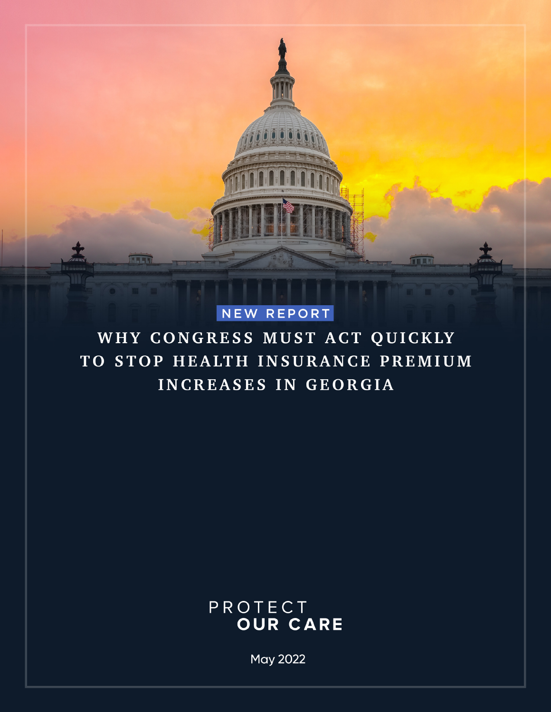

## NEW REPORT

WHY CONGRESS MUST ACT QUICKLY TO STOP HEALTH INSURANCE PREMIUM INCREASES IN GEORGIA

## PROTECT **OUR CARE**

**May 2022**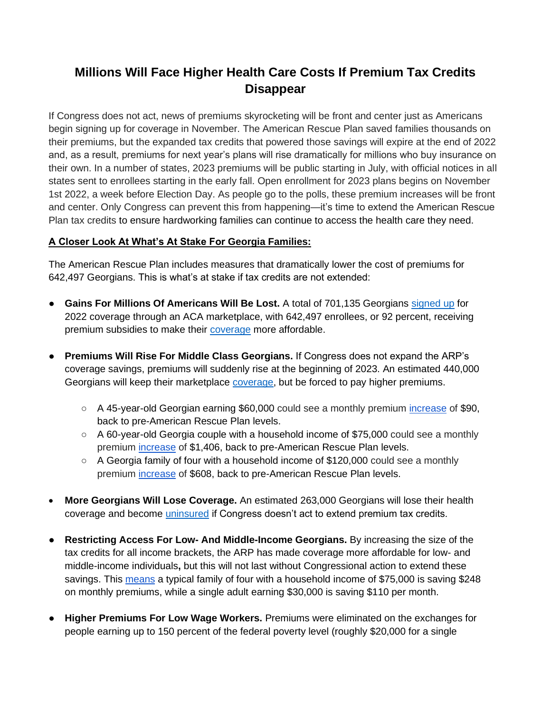## **Millions Will Face Higher Health Care Costs If Premium Tax Credits Disappear**

If Congress does not act, news of premiums skyrocketing will be front and center just as Americans begin signing up for coverage in November. The American Rescue Plan saved families thousands on their premiums, but the expanded tax credits that powered those savings will expire at the end of 2022 and, as a result, premiums for next year's plans will rise dramatically for millions who buy insurance on their own. In a number of states, 2023 premiums will be public starting in July, with official notices in all states sent to enrollees starting in the early fall. Open enrollment for 2023 plans begins on November 1st 2022, a week before Election Day. As people go to the polls, these premium increases will be front and center. Only Congress can prevent this from happening—it's time to extend the American Rescue Plan tax credits to ensure hardworking families can continue to access the health care they need.

## **A Closer Look At What's At Stake For Georgia Families:**

The American Rescue Plan includes measures that dramatically lower the cost of premiums for 642,497 Georgians. This is what's at stake if tax credits are not extended:

- **Gains For Millions Of Americans Will Be Lost.** A total of 701,135 Georgians [signed up](https://www.kff.org/health-reform/state-indicator/marketplace-plan-selections-by-financial-assistance-status-2/?currentTimeframe=0&selectedDistributions=total-consumers-who-have-selected-a-marketplace-plan--consumers-receiving-advanced-premium-tax-credits-aptc--percent-of-total-marketplace-enrollees-receiving-aptcs&sortModel=%7B%22colId%22:%22Location%22,%22sort%22:%22asc%22%7D) for 2022 coverage through an ACA marketplace, with 642,497 enrollees, or 92 percent, receiving premium subsidies to make their [coverage](https://www.kff.org/health-reform/state-indicator/marketplace-plan-selections-by-financial-assistance-status-2/?currentTimeframe=0&selectedDistributions=total-consumers-who-have-selected-a-marketplace-plan--consumers-receiving-advanced-premium-tax-credits-aptc--percent-of-total-marketplace-enrollees-receiving-aptcs&sortModel=%7B%22colId%22:%22Location%22,%22sort%22:%22asc%22%7D) more affordable.
- **Premiums Will Rise For Middle Class Georgians.** If Congress does not expand the ARP's coverage savings, premiums will suddenly rise at the beginning of 2023. An estimated 440,000 Georgians will keep their marketplace [coverage,](https://aspe.hhs.gov/sites/default/files/documents/1647ad29528ee85a48d6ffa9e7bfbc8f/arp-ptc-sunset-impacts-03-22-22%20Final.pdf) but be forced to pay higher premiums.
	- A 45-year-old Georgian earning \$60,000 could see a monthly premium [increase](https://www.cbpp.org/research/health/health-provisions-in-american-rescue-plan-act-improve-access-to-health-coverage) of \$90, back to pre-American Rescue Plan levels.
	- $\circ$  A 60-year-old Georgia couple with a household income of \$75,000 could see a monthly premium [increase](https://www.cbpp.org/research/health/health-provisions-in-american-rescue-plan-act-improve-access-to-health-coverage) of \$1,406, back to pre-American Rescue Plan levels.
	- $\circ$  A Georgia family of four with a household income of \$120,000 could see a monthly premium [increase](https://www.cbpp.org/research/health/health-provisions-in-american-rescue-plan-act-improve-access-to-health-coverage) of \$608, back to pre-American Rescue Plan levels.
- **More Georgians Will Lose Coverage.** An estimated 263,000 Georgians will lose their health coverage and become *uninsured* if Congress doesn't act to extend premium tax credits.
- **Restricting Access For Low- And Middle-Income Georgians.** By increasing the size of the tax credits for all income brackets, the ARP has made coverage more affordable for low- and middle-income individuals**,** but this will not last without Congressional action to extend these savings. This [means](https://www.cbpp.org/research/health/health-provisions-in-american-rescue-plan-act-improve-access-to-health-coverage) a typical family of four with a household income of \$75,000 is saving \$248 on monthly premiums, while a single adult earning \$30,000 is saving \$110 per month.
- **Higher Premiums For Low Wage Workers.** Premiums were eliminated on the exchanges for people earning up to 150 percent of the federal poverty level (roughly \$20,000 for a single